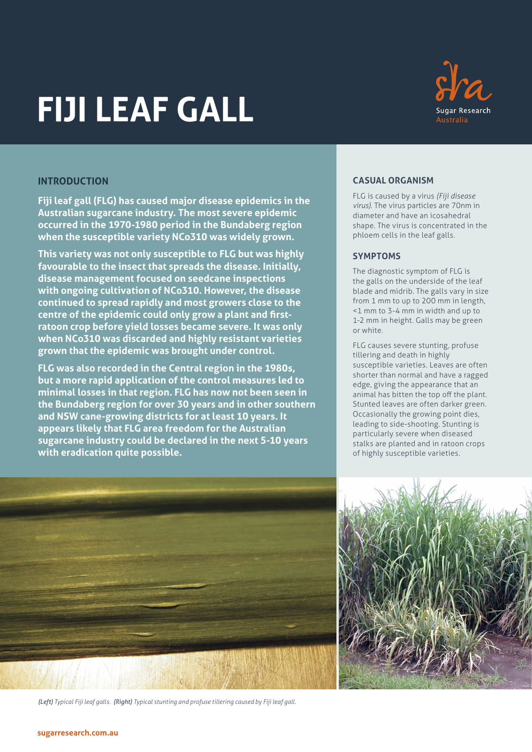# **FIJI LEAF GALL**



## **INTRODUCTION**

**Fiji leaf gall (FLG) has caused major disease epidemics in the Australian sugarcane industry. The most severe epidemic occurred in the 1970-1980 period in the Bundaberg region when the susceptible variety NCo310 was widely grown.** 

**This variety was not only susceptible to FLG but was highly favourable to the insect that spreads the disease. Initially, disease management focused on seedcane inspections with ongoing cultivation of NCo310. However, the disease continued to spread rapidly and most growers close to the centre of the epidemic could only grow a plant and firstratoon crop before yield losses became severe. It was only when NCo310 was discarded and highly resistant varieties grown that the epidemic was brought under control.**

**FLG was also recorded in the Central region in the 1980s, but a more rapid application of the control measures led to minimal losses in that region. FLG has now not been seen in the Bundaberg region for over 30 years and in other southern and NSW cane-growing districts for at least 10 years. It appears likely that FLG area freedom for the Australian sugarcane industry could be declared in the next 5-10 years with eradication quite possible.**

## **CASUAL ORGANISM**

FLG is caused by a virus *(Fiji disease virus)*. The virus particles are 70nm in diameter and have an icosahedral shape. The virus is concentrated in the phloem cells in the leaf galls.

## **SYMPTOMS**

The diagnostic symptom of FLG is the galls on the underside of the leaf blade and midrib. The galls vary in size from 1 mm to up to 200 mm in length, <1 mm to 3-4 mm in width and up to 1-2 mm in height. Galls may be green or white.

FLG causes severe stunting, profuse tillering and death in highly susceptible varieties. Leaves are often shorter than normal and have a ragged edge, giving the appearance that an animal has bitten the top off the plant. Stunted leaves are often darker green. Occasionally the growing point dies, leading to side-shooting. Stunting is particularly severe when diseased stalks are planted and in ratoon crops of highly susceptible varieties.



*(Left) Typical Fiji leaf galls. (Right) Typical stunting and profuse tillering caused by Fiji leaf gall.*